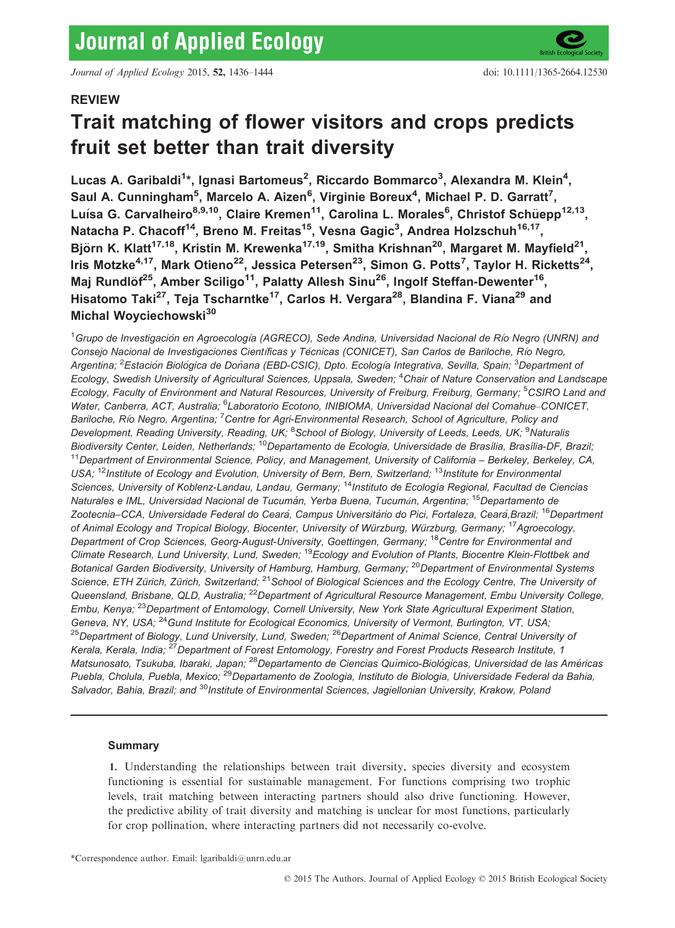Journal of Applied Ecology 2015, 52, 1436–1444 doi: 10.1111/1365-2664.12530

# REVIEW

# Trait matching of flower visitors and crops predicts fruit set better than trait diversity

Lucas A. Garibaldi<sup>1</sup>\*, Ignasi Bartomeus<sup>2</sup>, Riccardo Bommarco<sup>3</sup>, Alexandra M. Klein<sup>4</sup>, Saul A. Cunningham<sup>5</sup>, Marcelo A. Aizen<sup>6</sup>, Virginie Boreux<sup>4</sup>, Michael P. D. Garratt<sup>7</sup>, Luísa G. Carvalheiro<sup>8,9,10</sup>, Claire Kremen<sup>11</sup>, Carolina L. Morales<sup>6</sup>, Christof Schüepp<sup>12,13</sup>, Natacha P. Chacoff<sup>14</sup>, Breno M. Freitas<sup>15</sup>, Vesna Gagic<sup>3</sup>, Andrea Holzschuh<sup>16,17</sup>, Björn K. Klatt<sup>17,18</sup>, Kristin M. Krewenka<sup>17,19</sup>, Smitha Krishnan<sup>20</sup>, Margaret M. Mayfield<sup>21</sup>, Iris Motzke<sup>4,17</sup>, Mark Otieno<sup>22</sup>, Jessica Petersen<sup>23</sup>, Simon G. Potts<sup>7</sup>, Taylor H. Ricketts<sup>24</sup>, Maj Rundlöf<sup>25</sup>, Amber Sciligo<sup>11</sup>, Palatty Allesh Sinu<sup>26</sup>, Ingolf Steffan-Dewenter<sup>16</sup>, Hisatomo Taki<sup>27</sup>, Teja Tscharntke<sup>17</sup>, Carlos H. Vergara<sup>28</sup>, Blandina F. Viana<sup>29</sup> and Michal Wovciechowski<sup>30</sup>

<sup>1</sup>Grupo de Investigación en Agroecología (AGRECO), Sede Andina, Universidad Nacional de Río Negro (UNRN) and Consejo Nacional de Investigaciones Científicas y Técnicas (CONICET), San Carlos de Bariloche, Río Negro, Argentina; <sup>2</sup>Estación Biológica de Doñana (EBD-CSIC), Dpto. Ecología Integrativa, Sevilla, Spain; <sup>3</sup>Department ol Ecology, Swedish University of Agricultural Sciences, Uppsala, Sweden; <sup>4</sup>Chair of Nature Conservation and Landscape Ecology, Faculty of Environment and Natural Resources, University of Freiburg, Freiburg, Germany; <sup>5</sup>CSIRO Land and Water, Canberra, ACT, Australia; <sup>6</sup>Laboratorio Ecotono, INIBIOMA, Universidad Nacional del Comahue–CONICET, Bariloche, Río Negro, Argentina; <sup>7</sup> Centre for Agri-Environmental Research, School of Agriculture, Policy and Development, Reading University, Reading, UK; <sup>8</sup>School of Biology, University of Leeds, Leeds, UK; <sup>9</sup>Naturalis Biodiversity Center, Leiden, Netherlands; <sup>10</sup>Departamento de Ecologia, Universidade de Brasília, Brasília-DF, Brazil; <sup>11</sup> Department of Environmental Science, Policy, and Management, University of California – Berkeley, Berkeley, CA, USA; <sup>12</sup>Institute of Ecology and Evolution, University of Bern, Bern, Switzerland; <sup>13</sup>Institute for Environmental Sciences, University of Koblenz-Landau, Landau, Germany; <sup>14</sup>Instituto de Ecología Regional, Facultad de Ciencias Naturales e IML, Universidad Nacional de Tucumán, Yerba Buena, Tucumán, Argentina; <sup>15</sup>Departamento de Zootecnia–CCA, Universidade Federal do Ceará, Campus Universitário do Pici, Fortaleza, Ceará,Brazil; <sup>16</sup>Department of Animal Ecology and Tropical Biology, Biocenter, University of Würzburg, Würzburg, Germany; <sup>17</sup>Agroecology, Department of Crop Sciences, Georg-August-University, Goettingen, Germany; <sup>18</sup>Centre for Environmental and Climate Research, Lund University, Lund, Sweden; <sup>19</sup> Ecology and Evolution of Plants, Biocentre Klein-Flottbek and Botanical Garden Biodiversity, University of Hamburg, Hamburg, Germany; <sup>20</sup>Department of Environmental Systems Science, ETH Zürich, Zürich, Switzerland; <sup>21</sup>School of Biological Sciences and the Ecology Centre, The University of Queensland, Brisbane, QLD, Australia; <sup>22</sup>Department of Agricultural Resource Management, Embu University College, Embu, Kenya; <sup>23</sup>Department of Entomology, Cornell University, New York State Agricultural Experiment Station, Geneva, NY, USA; <sup>24</sup>Gund Institute for Ecological Economics, University of Vermont, Burlington, VT, USA; <sup>25</sup>Department of Biology, Lund University, Lund, Sweden; <sup>26</sup>Department of Animal Science, Central University of Kerala, Kerala, India; <sup>27</sup> Department of Forest Entomology, Forestry and Forest Products Research Institute, 1 Matsunosato, Tsukuba, Ibaraki, Japan; <sup>28</sup>Departamento de Ciencias Químico-Biológicas, Universidad de las Américas Puebla, Cholula, Puebla, Mexico; <sup>29</sup>Departamento de Zoologia, Instituto de Biologia, Universidade Federal da Bahia, Salvador, Bahia, Brazil; and <sup>30</sup>Institute of Environmental Sciences, Jagiellonian University, Krakow, Poland

# Summary

1. Understanding the relationships between trait diversity, species diversity and ecosystem functioning is essential for sustainable management. For functions comprising two trophic levels, trait matching between interacting partners should also drive functioning. However, the predictive ability of trait diversity and matching is unclear for most functions, particularly for crop pollination, where interacting partners did not necessarily co-evolve.

<sup>\*</sup>Correspondence author. Email: lgaribaldi@unrn.edu.ar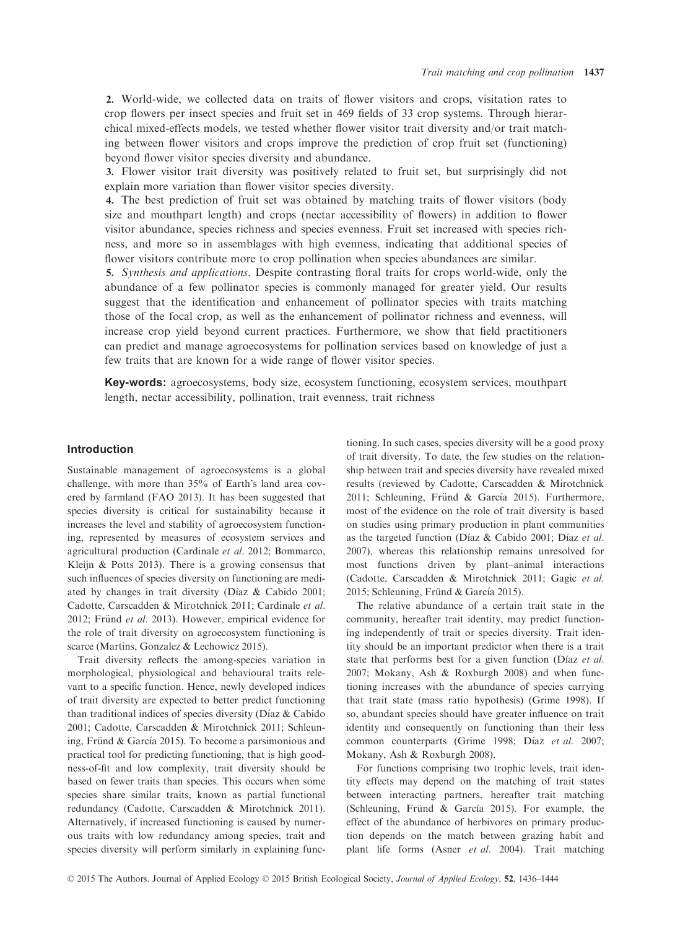2. World-wide, we collected data on traits of flower visitors and crops, visitation rates to crop flowers per insect species and fruit set in 469 fields of 33 crop systems. Through hierarchical mixed-effects models, we tested whether flower visitor trait diversity and/or trait matching between flower visitors and crops improve the prediction of crop fruit set (functioning) beyond flower visitor species diversity and abundance.

3. Flower visitor trait diversity was positively related to fruit set, but surprisingly did not explain more variation than flower visitor species diversity.

4. The best prediction of fruit set was obtained by matching traits of flower visitors (body size and mouthpart length) and crops (nectar accessibility of flowers) in addition to flower visitor abundance, species richness and species evenness. Fruit set increased with species richness, and more so in assemblages with high evenness, indicating that additional species of flower visitors contribute more to crop pollination when species abundances are similar.

5. Synthesis and applications. Despite contrasting floral traits for crops world-wide, only the abundance of a few pollinator species is commonly managed for greater yield. Our results suggest that the identification and enhancement of pollinator species with traits matching those of the focal crop, as well as the enhancement of pollinator richness and evenness, will increase crop yield beyond current practices. Furthermore, we show that field practitioners can predict and manage agroecosystems for pollination services based on knowledge of just a few traits that are known for a wide range of flower visitor species.

Key-words: agroecosystems, body size, ecosystem functioning, ecosystem services, mouthpart length, nectar accessibility, pollination, trait evenness, trait richness

# Introduction

Sustainable management of agroecosystems is a global challenge, with more than 35% of Earth's land area covered by farmland (FAO 2013). It has been suggested that species diversity is critical for sustainability because it increases the level and stability of agroecosystem functioning, represented by measures of ecosystem services and agricultural production (Cardinale et al. 2012; Bommarco, Kleijn & Potts 2013). There is a growing consensus that such influences of species diversity on functioning are mediated by changes in trait diversity (Díaz & Cabido 2001; Cadotte, Carscadden & Mirotchnick 2011; Cardinale et al. 2012; Fründ et al. 2013). However, empirical evidence for the role of trait diversity on agroecosystem functioning is scarce (Martins, Gonzalez & Lechowicz 2015).

Trait diversity reflects the among-species variation in morphological, physiological and behavioural traits relevant to a specific function. Hence, newly developed indices of trait diversity are expected to better predict functioning than traditional indices of species diversity ( $D$ íaz  $\&$  Cabido 2001; Cadotte, Carscadden & Mirotchnick 2011; Schleuning, Fründ & García 2015). To become a parsimonious and practical tool for predicting functioning, that is high goodness-of-fit and low complexity, trait diversity should be based on fewer traits than species. This occurs when some species share similar traits, known as partial functional redundancy (Cadotte, Carscadden & Mirotchnick 2011). Alternatively, if increased functioning is caused by numerous traits with low redundancy among species, trait and species diversity will perform similarly in explaining functioning. In such cases, species diversity will be a good proxy of trait diversity. To date, the few studies on the relationship between trait and species diversity have revealed mixed results (reviewed by Cadotte, Carscadden & Mirotchnick 2011; Schleuning, Fründ & García 2015). Furthermore, most of the evidence on the role of trait diversity is based on studies using primary production in plant communities as the targeted function (Díaz & Cabido 2001; Díaz et al. 2007), whereas this relationship remains unresolved for most functions driven by plant–animal interactions (Cadotte, Carscadden & Mirotchnick 2011; Gagic et al. 2015; Schleuning, Fründ & García 2015).

The relative abundance of a certain trait state in the community, hereafter trait identity, may predict functioning independently of trait or species diversity. Trait identity should be an important predictor when there is a trait state that performs best for a given function (Díaz et al. 2007; Mokany, Ash & Roxburgh 2008) and when functioning increases with the abundance of species carrying that trait state (mass ratio hypothesis) (Grime 1998). If so, abundant species should have greater influence on trait identity and consequently on functioning than their less common counterparts (Grime 1998; Díaz et al. 2007; Mokany, Ash & Roxburgh 2008).

For functions comprising two trophic levels, trait identity effects may depend on the matching of trait states between interacting partners, hereafter trait matching (Schleuning, Fründ & García 2015). For example, the effect of the abundance of herbivores on primary production depends on the match between grazing habit and plant life forms (Asner et al. 2004). Trait matching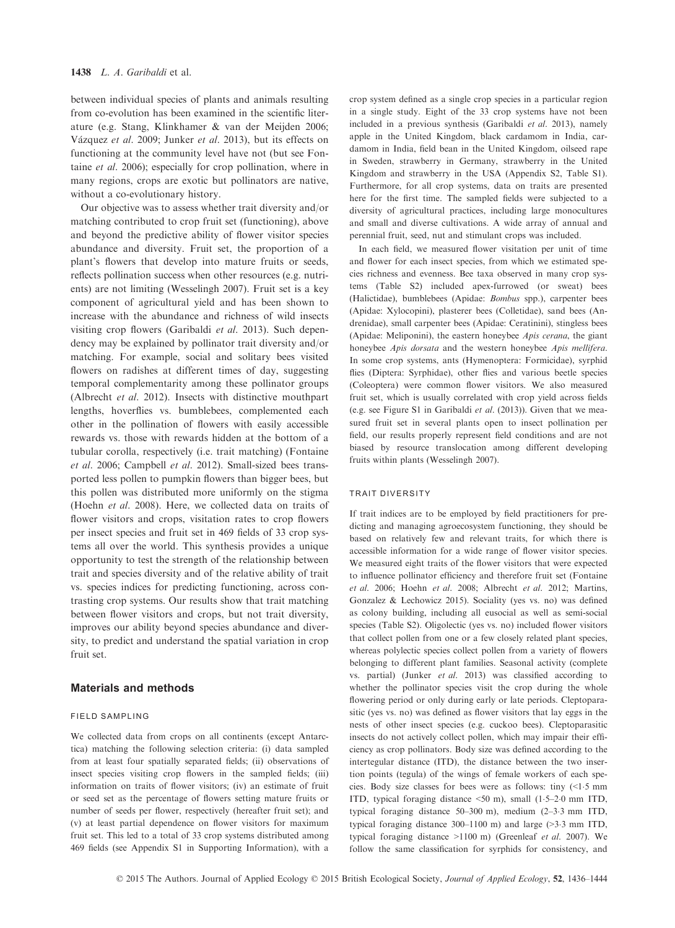between individual species of plants and animals resulting from co-evolution has been examined in the scientific literature (e.g. Stang, Klinkhamer & van der Meijden 2006; Vázquez et al. 2009; Junker et al. 2013), but its effects on functioning at the community level have not (but see Fontaine et al. 2006); especially for crop pollination, where in many regions, crops are exotic but pollinators are native, without a co-evolutionary history.

Our objective was to assess whether trait diversity and/or matching contributed to crop fruit set (functioning), above and beyond the predictive ability of flower visitor species abundance and diversity. Fruit set, the proportion of a plant's flowers that develop into mature fruits or seeds, reflects pollination success when other resources (e.g. nutrients) are not limiting (Wesselingh 2007). Fruit set is a key component of agricultural yield and has been shown to increase with the abundance and richness of wild insects visiting crop flowers (Garibaldi et al. 2013). Such dependency may be explained by pollinator trait diversity and/or matching. For example, social and solitary bees visited flowers on radishes at different times of day, suggesting temporal complementarity among these pollinator groups (Albrecht et al. 2012). Insects with distinctive mouthpart lengths, hoverflies vs. bumblebees, complemented each other in the pollination of flowers with easily accessible rewards vs. those with rewards hidden at the bottom of a tubular corolla, respectively (i.e. trait matching) (Fontaine et al. 2006; Campbell et al. 2012). Small-sized bees transported less pollen to pumpkin flowers than bigger bees, but this pollen was distributed more uniformly on the stigma (Hoehn et al. 2008). Here, we collected data on traits of flower visitors and crops, visitation rates to crop flowers per insect species and fruit set in 469 fields of 33 crop systems all over the world. This synthesis provides a unique opportunity to test the strength of the relationship between trait and species diversity and of the relative ability of trait vs. species indices for predicting functioning, across contrasting crop systems. Our results show that trait matching between flower visitors and crops, but not trait diversity, improves our ability beyond species abundance and diversity, to predict and understand the spatial variation in crop fruit set.

# Materials and methods

#### FIELD SAMPLING

We collected data from crops on all continents (except Antarctica) matching the following selection criteria: (i) data sampled from at least four spatially separated fields; (ii) observations of insect species visiting crop flowers in the sampled fields; (iii) information on traits of flower visitors; (iv) an estimate of fruit or seed set as the percentage of flowers setting mature fruits or number of seeds per flower, respectively (hereafter fruit set); and (v) at least partial dependence on flower visitors for maximum fruit set. This led to a total of 33 crop systems distributed among 469 fields (see Appendix S1 in Supporting Information), with a crop system defined as a single crop species in a particular region in a single study. Eight of the 33 crop systems have not been included in a previous synthesis (Garibaldi et al. 2013), namely apple in the United Kingdom, black cardamom in India, cardamom in India, field bean in the United Kingdom, oilseed rape in Sweden, strawberry in Germany, strawberry in the United Kingdom and strawberry in the USA (Appendix S2, Table S1). Furthermore, for all crop systems, data on traits are presented here for the first time. The sampled fields were subjected to a diversity of agricultural practices, including large monocultures and small and diverse cultivations. A wide array of annual and perennial fruit, seed, nut and stimulant crops was included.

In each field, we measured flower visitation per unit of time and flower for each insect species, from which we estimated species richness and evenness. Bee taxa observed in many crop systems (Table S2) included apex-furrowed (or sweat) bees (Halictidae), bumblebees (Apidae: Bombus spp.), carpenter bees (Apidae: Xylocopini), plasterer bees (Colletidae), sand bees (Andrenidae), small carpenter bees (Apidae: Ceratinini), stingless bees (Apidae: Meliponini), the eastern honeybee Apis cerana, the giant honeybee Apis dorsata and the western honeybee Apis mellifera. In some crop systems, ants (Hymenoptera: Formicidae), syrphid flies (Diptera: Syrphidae), other flies and various beetle species (Coleoptera) were common flower visitors. We also measured fruit set, which is usually correlated with crop yield across fields (e.g. see Figure S1 in Garibaldi et al. (2013)). Given that we measured fruit set in several plants open to insect pollination per field, our results properly represent field conditions and are not biased by resource translocation among different developing fruits within plants (Wesselingh 2007).

#### TRAIT DIVERSITY

If trait indices are to be employed by field practitioners for predicting and managing agroecosystem functioning, they should be based on relatively few and relevant traits, for which there is accessible information for a wide range of flower visitor species. We measured eight traits of the flower visitors that were expected to influence pollinator efficiency and therefore fruit set (Fontaine et al. 2006; Hoehn et al. 2008; Albrecht et al. 2012; Martins, Gonzalez & Lechowicz 2015). Sociality (yes vs. no) was defined as colony building, including all eusocial as well as semi-social species (Table S2). Oligolectic (yes vs. no) included flower visitors that collect pollen from one or a few closely related plant species, whereas polylectic species collect pollen from a variety of flowers belonging to different plant families. Seasonal activity (complete vs. partial) (Junker et al. 2013) was classified according to whether the pollinator species visit the crop during the whole flowering period or only during early or late periods. Cleptoparasitic (yes vs. no) was defined as flower visitors that lay eggs in the nests of other insect species (e.g. cuckoo bees). Cleptoparasitic insects do not actively collect pollen, which may impair their efficiency as crop pollinators. Body size was defined according to the intertegular distance (ITD), the distance between the two insertion points (tegula) of the wings of female workers of each species. Body size classes for bees were as follows: tiny (<15 mm ITD, typical foraging distance <50 m), small (15–20 mm ITD, typical foraging distance 50–300 m), medium (2–33 mm ITD, typical foraging distance 300–1100 m) and large (>33 mm ITD, typical foraging distance >1100 m) (Greenleaf et al. 2007). We follow the same classification for syrphids for consistency, and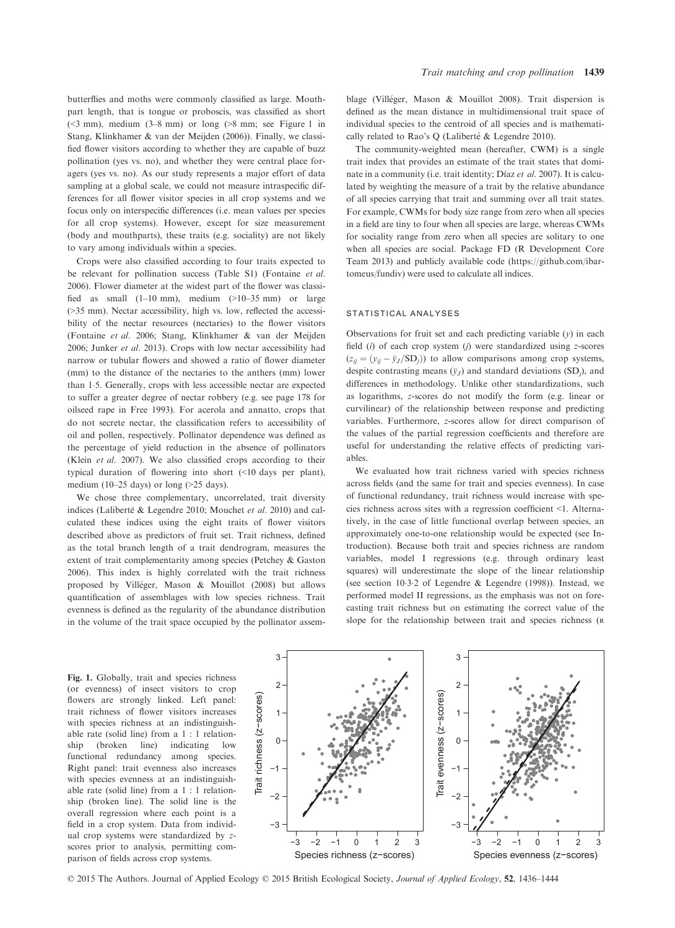butterflies and moths were commonly classified as large. Mouthpart length, that is tongue or proboscis, was classified as short  $(\leq 3$  mm), medium  $(3-8$  mm) or long  $(>8$  mm; see Figure 1 in Stang, Klinkhamer & van der Meijden (2006)). Finally, we classified flower visitors according to whether they are capable of buzz pollination (yes vs. no), and whether they were central place foragers (yes vs. no). As our study represents a major effort of data sampling at a global scale, we could not measure intraspecific differences for all flower visitor species in all crop systems and we focus only on interspecific differences (i.e. mean values per species for all crop systems). However, except for size measurement (body and mouthparts), these traits (e.g. sociality) are not likely to vary among individuals within a species.

Crops were also classified according to four traits expected to be relevant for pollination success (Table S1) (Fontaine et al. 2006). Flower diameter at the widest part of the flower was classified as small  $(1-10 \text{ mm})$ , medium  $(>10-35 \text{ mm})$  or large (>35 mm). Nectar accessibility, high vs. low, reflected the accessibility of the nectar resources (nectaries) to the flower visitors (Fontaine et al. 2006; Stang, Klinkhamer & van der Meijden 2006; Junker et al. 2013). Crops with low nectar accessibility had narrow or tubular flowers and showed a ratio of flower diameter (mm) to the distance of the nectaries to the anthers (mm) lower than 15. Generally, crops with less accessible nectar are expected to suffer a greater degree of nectar robbery (e.g. see page 178 for oilseed rape in Free 1993). For acerola and annatto, crops that do not secrete nectar, the classification refers to accessibility of oil and pollen, respectively. Pollinator dependence was defined as the percentage of yield reduction in the absence of pollinators (Klein et al. 2007). We also classified crops according to their typical duration of flowering into short (<10 days per plant), medium (10–25 days) or long (>25 days).

We chose three complementary, uncorrelated, trait diversity indices (Laliberté & Legendre 2010; Mouchet et al. 2010) and calculated these indices using the eight traits of flower visitors described above as predictors of fruit set. Trait richness, defined as the total branch length of a trait dendrogram, measures the extent of trait complementarity among species (Petchey & Gaston 2006). This index is highly correlated with the trait richness proposed by Villeger, Mason & Mouillot (2008) but allows quantification of assemblages with low species richness. Trait evenness is defined as the regularity of the abundance distribution in the volume of the trait space occupied by the pollinator assemblage (Villéger, Mason & Mouillot 2008). Trait dispersion is defined as the mean distance in multidimensional trait space of individual species to the centroid of all species and is mathematically related to Rao's O (Laliberté & Legendre 2010).

The community-weighted mean (hereafter, CWM) is a single trait index that provides an estimate of the trait states that dominate in a community (i.e. trait identity; Díaz et al. 2007). It is calculated by weighting the measure of a trait by the relative abundance of all species carrying that trait and summing over all trait states. For example, CWMs for body size range from zero when all species in a field are tiny to four when all species are large, whereas CWMs for sociality range from zero when all species are solitary to one when all species are social. Package FD (R Development Core Team 2013) and publicly available code (https://github.com/ibartomeus/fundiv) were used to calculate all indices.

#### STATISTICAL ANALYSES

Observations for fruit set and each predicting variable  $(v)$  in each field  $(i)$  of each crop system  $(i)$  were standardized using z-scores  $(z_{ii} = (y_{ii} - \bar{y}_J/\text{SD}_i))$  to allow comparisons among crop systems, despite contrasting means  $(\bar{y}_J)$  and standard deviations (SD<sub>i</sub>), and differences in methodology. Unlike other standardizations, such as logarithms, z-scores do not modify the form (e.g. linear or curvilinear) of the relationship between response and predicting variables. Furthermore, z-scores allow for direct comparison of the values of the partial regression coefficients and therefore are useful for understanding the relative effects of predicting variables.

We evaluated how trait richness varied with species richness across fields (and the same for trait and species evenness). In case of functional redundancy, trait richness would increase with species richness across sites with a regression coefficient <1. Alternatively, in the case of little functional overlap between species, an approximately one-to-one relationship would be expected (see Introduction). Because both trait and species richness are random variables, model I regressions (e.g. through ordinary least squares) will underestimate the slope of the linear relationship (see section 1032 of Legendre & Legendre (1998)). Instead, we performed model II regressions, as the emphasis was not on forecasting trait richness but on estimating the correct value of the slope for the relationship between trait and species richness (R

Fig. 1. Globally, trait and species richness (or evenness) of insect visitors to crop flowers are strongly linked. Left panel: trait richness of flower visitors increases with species richness at an indistinguishable rate (solid line) from a 1 : 1 relationship (broken line) indicating low functional redundancy among species. Right panel: trait evenness also increases with species evenness at an indistinguishable rate (solid line) from a 1 : 1 relationship (broken line). The solid line is the overall regression where each point is a field in a crop system. Data from individual crop systems were standardized by zscores prior to analysis, permitting comparison of fields across crop systems.



© 2015 The Authors. Journal of Applied Ecology © 2015 British Ecological Society, Journal of Applied Ecology, 52, 1436–1444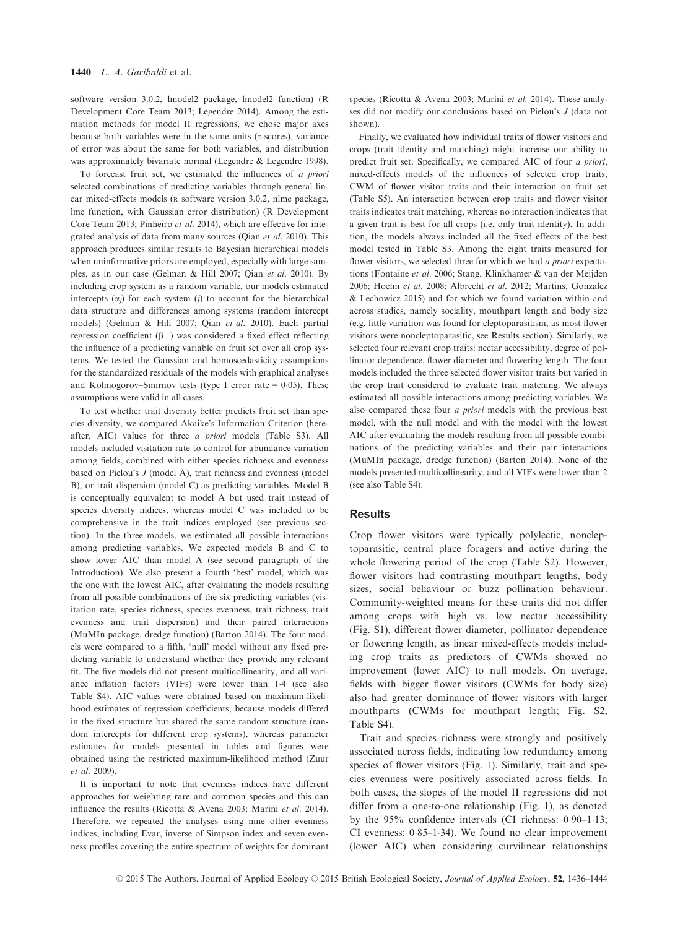software version 3.0.2, lmodel2 package, lmodel2 function) (R Development Core Team 2013; Legendre 2014). Among the estimation methods for model II regressions, we chose major axes because both variables were in the same units (z-scores), variance of error was about the same for both variables, and distribution was approximately bivariate normal (Legendre & Legendre 1998).

To forecast fruit set, we estimated the influences of a priori selected combinations of predicting variables through general linear mixed-effects models (R software version 3.0.2, nlme package, lme function, with Gaussian error distribution) (R Development Core Team 2013; Pinheiro et al. 2014), which are effective for integrated analysis of data from many sources (Qian et al. 2010). This approach produces similar results to Bayesian hierarchical models when uninformative priors are employed, especially with large samples, as in our case (Gelman & Hill 2007; Qian et al. 2010). By including crop system as a random variable, our models estimated intercepts  $(\alpha_i)$  for each system (*j*) to account for the hierarchical data structure and differences among systems (random intercept models) (Gelman & Hill 2007; Qian et al. 2010). Each partial regression coefficient  $(\beta_+)$  was considered a fixed effect reflecting the influence of a predicting variable on fruit set over all crop systems. We tested the Gaussian and homoscedasticity assumptions for the standardized residuals of the models with graphical analyses and Kolmogorov–Smirnov tests (type I error rate  $= 0.05$ ). These assumptions were valid in all cases.

To test whether trait diversity better predicts fruit set than species diversity, we compared Akaike's Information Criterion (hereafter, AIC) values for three a priori models (Table S3). All models included visitation rate to control for abundance variation among fields, combined with either species richness and evenness based on Pielou's J (model A), trait richness and evenness (model B), or trait dispersion (model C) as predicting variables. Model B is conceptually equivalent to model A but used trait instead of species diversity indices, whereas model C was included to be comprehensive in the trait indices employed (see previous section). In the three models, we estimated all possible interactions among predicting variables. We expected models B and C to show lower AIC than model A (see second paragraph of the Introduction). We also present a fourth 'best' model, which was the one with the lowest AIC, after evaluating the models resulting from all possible combinations of the six predicting variables (visitation rate, species richness, species evenness, trait richness, trait evenness and trait dispersion) and their paired interactions (MuMIn package, dredge function) (Barton 2014). The four models were compared to a fifth, 'null' model without any fixed predicting variable to understand whether they provide any relevant fit. The five models did not present multicollinearity, and all variance inflation factors (VIFs) were lower than 1.4 (see also Table S4). AIC values were obtained based on maximum-likelihood estimates of regression coefficients, because models differed in the fixed structure but shared the same random structure (random intercepts for different crop systems), whereas parameter estimates for models presented in tables and figures were obtained using the restricted maximum-likelihood method (Zuur et al. 2009).

It is important to note that evenness indices have different approaches for weighting rare and common species and this can influence the results (Ricotta & Avena 2003; Marini et al. 2014). Therefore, we repeated the analyses using nine other evenness indices, including Evar, inverse of Simpson index and seven evenness profiles covering the entire spectrum of weights for dominant species (Ricotta & Avena 2003; Marini et al. 2014). These analyses did not modify our conclusions based on Pielou's J (data not shown).

Finally, we evaluated how individual traits of flower visitors and crops (trait identity and matching) might increase our ability to predict fruit set. Specifically, we compared AIC of four a priori, mixed-effects models of the influences of selected crop traits, CWM of flower visitor traits and their interaction on fruit set (Table S5). An interaction between crop traits and flower visitor traits indicates trait matching, whereas no interaction indicates that a given trait is best for all crops (i.e. only trait identity). In addition, the models always included all the fixed effects of the best model tested in Table S3. Among the eight traits measured for flower visitors, we selected three for which we had a priori expectations (Fontaine et al. 2006; Stang, Klinkhamer & van der Meijden 2006; Hoehn et al. 2008; Albrecht et al. 2012; Martins, Gonzalez & Lechowicz 2015) and for which we found variation within and across studies, namely sociality, mouthpart length and body size (e.g. little variation was found for cleptoparasitism, as most flower visitors were noncleptoparasitic, see Results section). Similarly, we selected four relevant crop traits: nectar accessibility, degree of pollinator dependence, flower diameter and flowering length. The four models included the three selected flower visitor traits but varied in the crop trait considered to evaluate trait matching. We always estimated all possible interactions among predicting variables. We also compared these four a priori models with the previous best model, with the null model and with the model with the lowest AIC after evaluating the models resulting from all possible combinations of the predicting variables and their pair interactions (MuMIn package, dredge function) (Barton 2014). None of the models presented multicollinearity, and all VIFs were lower than 2 (see also Table S4).

## Results

Crop flower visitors were typically polylectic, noncleptoparasitic, central place foragers and active during the whole flowering period of the crop (Table S2). However, flower visitors had contrasting mouthpart lengths, body sizes, social behaviour or buzz pollination behaviour. Community-weighted means for these traits did not differ among crops with high vs. low nectar accessibility (Fig. S1), different flower diameter, pollinator dependence or flowering length, as linear mixed-effects models including crop traits as predictors of CWMs showed no improvement (lower AIC) to null models. On average, fields with bigger flower visitors (CWMs for body size) also had greater dominance of flower visitors with larger mouthparts (CWMs for mouthpart length; Fig. S2, Table S4).

Trait and species richness were strongly and positively associated across fields, indicating low redundancy among species of flower visitors (Fig. 1). Similarly, trait and species evenness were positively associated across fields. In both cases, the slopes of the model II regressions did not differ from a one-to-one relationship (Fig. 1), as denoted by the  $95\%$  confidence intervals (CI richness:  $0.90-1.13$ ; CI evenness:  $0.85-1.34$ ). We found no clear improvement (lower AIC) when considering curvilinear relationships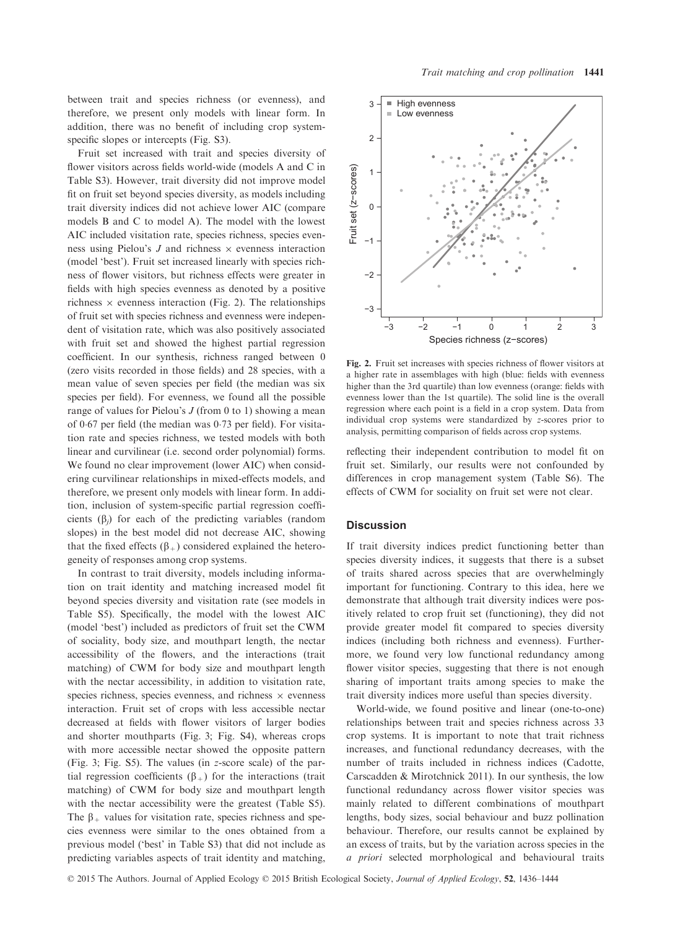between trait and species richness (or evenness), and therefore, we present only models with linear form. In addition, there was no benefit of including crop systemspecific slopes or intercepts (Fig. S3).

Fruit set increased with trait and species diversity of flower visitors across fields world-wide (models A and C in Table S3). However, trait diversity did not improve model fit on fruit set beyond species diversity, as models including trait diversity indices did not achieve lower AIC (compare models B and C to model A). The model with the lowest AIC included visitation rate, species richness, species evenness using Pielou's  $J$  and richness  $\times$  evenness interaction (model 'best'). Fruit set increased linearly with species richness of flower visitors, but richness effects were greater in fields with high species evenness as denoted by a positive richness  $\times$  evenness interaction (Fig. 2). The relationships of fruit set with species richness and evenness were independent of visitation rate, which was also positively associated with fruit set and showed the highest partial regression coefficient. In our synthesis, richness ranged between 0 (zero visits recorded in those fields) and 28 species, with a mean value of seven species per field (the median was six species per field). For evenness, we found all the possible range of values for Pielou's  $J$  (from 0 to 1) showing a mean of 067 per field (the median was 073 per field). For visitation rate and species richness, we tested models with both linear and curvilinear (i.e. second order polynomial) forms. We found no clear improvement (lower AIC) when considering curvilinear relationships in mixed-effects models, and therefore, we present only models with linear form. In addition, inclusion of system-specific partial regression coefficients  $(\beta_i)$  for each of the predicting variables (random slopes) in the best model did not decrease AIC, showing that the fixed effects  $(\beta_+)$  considered explained the heterogeneity of responses among crop systems.

In contrast to trait diversity, models including information on trait identity and matching increased model fit beyond species diversity and visitation rate (see models in Table S5). Specifically, the model with the lowest AIC (model 'best') included as predictors of fruit set the CWM of sociality, body size, and mouthpart length, the nectar accessibility of the flowers, and the interactions (trait matching) of CWM for body size and mouthpart length with the nectar accessibility, in addition to visitation rate, species richness, species evenness, and richness  $\times$  evenness interaction. Fruit set of crops with less accessible nectar decreased at fields with flower visitors of larger bodies and shorter mouthparts (Fig. 3; Fig. S4), whereas crops with more accessible nectar showed the opposite pattern (Fig. 3; Fig. S5). The values (in z-score scale) of the partial regression coefficients  $(\beta_+)$  for the interactions (trait matching) of CWM for body size and mouthpart length with the nectar accessibility were the greatest (Table S5). The  $\beta_+$  values for visitation rate, species richness and species evenness were similar to the ones obtained from a previous model ('best' in Table S3) that did not include as predicting variables aspects of trait identity and matching,



Fig. 2. Fruit set increases with species richness of flower visitors at a higher rate in assemblages with high (blue: fields with evenness higher than the 3rd quartile) than low evenness (orange: fields with evenness lower than the 1st quartile). The solid line is the overall regression where each point is a field in a crop system. Data from individual crop systems were standardized by z-scores prior to analysis, permitting comparison of fields across crop systems.

reflecting their independent contribution to model fit on fruit set. Similarly, our results were not confounded by differences in crop management system (Table S6). The effects of CWM for sociality on fruit set were not clear.

# **Discussion**

If trait diversity indices predict functioning better than species diversity indices, it suggests that there is a subset of traits shared across species that are overwhelmingly important for functioning. Contrary to this idea, here we demonstrate that although trait diversity indices were positively related to crop fruit set (functioning), they did not provide greater model fit compared to species diversity indices (including both richness and evenness). Furthermore, we found very low functional redundancy among flower visitor species, suggesting that there is not enough sharing of important traits among species to make the trait diversity indices more useful than species diversity.

World-wide, we found positive and linear (one-to-one) relationships between trait and species richness across 33 crop systems. It is important to note that trait richness increases, and functional redundancy decreases, with the number of traits included in richness indices (Cadotte, Carscadden & Mirotchnick 2011). In our synthesis, the low functional redundancy across flower visitor species was mainly related to different combinations of mouthpart lengths, body sizes, social behaviour and buzz pollination behaviour. Therefore, our results cannot be explained by an excess of traits, but by the variation across species in the a priori selected morphological and behavioural traits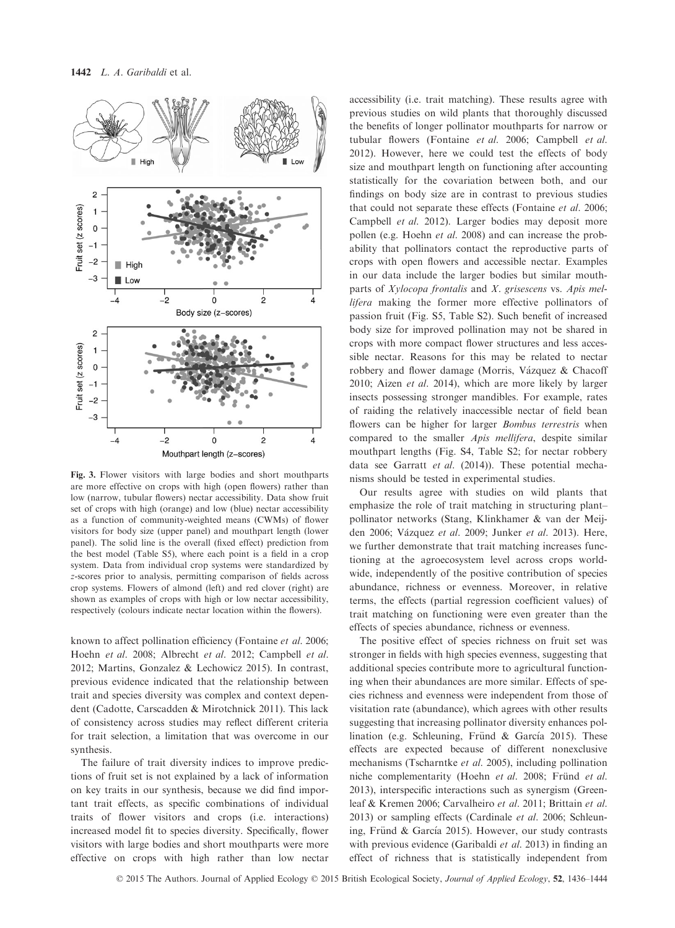

Fig. 3. Flower visitors with large bodies and short mouthparts are more effective on crops with high (open flowers) rather than low (narrow, tubular flowers) nectar accessibility. Data show fruit set of crops with high (orange) and low (blue) nectar accessibility as a function of community-weighted means (CWMs) of flower visitors for body size (upper panel) and mouthpart length (lower panel). The solid line is the overall (fixed effect) prediction from the best model (Table S5), where each point is a field in a crop system. Data from individual crop systems were standardized by z-scores prior to analysis, permitting comparison of fields across crop systems. Flowers of almond (left) and red clover (right) are shown as examples of crops with high or low nectar accessibility, respectively (colours indicate nectar location within the flowers).

known to affect pollination efficiency (Fontaine et al. 2006; Hoehn et al. 2008; Albrecht et al. 2012; Campbell et al. 2012; Martins, Gonzalez & Lechowicz 2015). In contrast, previous evidence indicated that the relationship between trait and species diversity was complex and context dependent (Cadotte, Carscadden & Mirotchnick 2011). This lack of consistency across studies may reflect different criteria for trait selection, a limitation that was overcome in our synthesis.

The failure of trait diversity indices to improve predictions of fruit set is not explained by a lack of information on key traits in our synthesis, because we did find important trait effects, as specific combinations of individual traits of flower visitors and crops (i.e. interactions) increased model fit to species diversity. Specifically, flower visitors with large bodies and short mouthparts were more effective on crops with high rather than low nectar

accessibility (i.e. trait matching). These results agree with previous studies on wild plants that thoroughly discussed the benefits of longer pollinator mouthparts for narrow or tubular flowers (Fontaine et al. 2006; Campbell et al. 2012). However, here we could test the effects of body size and mouthpart length on functioning after accounting statistically for the covariation between both, and our findings on body size are in contrast to previous studies that could not separate these effects (Fontaine et al. 2006; Campbell et al. 2012). Larger bodies may deposit more pollen (e.g. Hoehn *et al.* 2008) and can increase the probability that pollinators contact the reproductive parts of crops with open flowers and accessible nectar. Examples in our data include the larger bodies but similar mouthparts of Xylocopa frontalis and X. grisescens vs. Apis mellifera making the former more effective pollinators of passion fruit (Fig. S5, Table S2). Such benefit of increased body size for improved pollination may not be shared in crops with more compact flower structures and less accessible nectar. Reasons for this may be related to nectar robbery and flower damage (Morris, Vázquez & Chacoff 2010; Aizen et al. 2014), which are more likely by larger insects possessing stronger mandibles. For example, rates of raiding the relatively inaccessible nectar of field bean flowers can be higher for larger Bombus terrestris when compared to the smaller Apis mellifera, despite similar mouthpart lengths (Fig. S4, Table S2; for nectar robbery data see Garratt et al. (2014)). These potential mechanisms should be tested in experimental studies.

Our results agree with studies on wild plants that emphasize the role of trait matching in structuring plant– pollinator networks (Stang, Klinkhamer & van der Meijden 2006; Vázquez et al. 2009; Junker et al. 2013). Here, we further demonstrate that trait matching increases functioning at the agroecosystem level across crops worldwide, independently of the positive contribution of species abundance, richness or evenness. Moreover, in relative terms, the effects (partial regression coefficient values) of trait matching on functioning were even greater than the effects of species abundance, richness or evenness.

The positive effect of species richness on fruit set was stronger in fields with high species evenness, suggesting that additional species contribute more to agricultural functioning when their abundances are more similar. Effects of species richness and evenness were independent from those of visitation rate (abundance), which agrees with other results suggesting that increasing pollinator diversity enhances pollination (e.g. Schleuning, Fründ & García 2015). These effects are expected because of different nonexclusive mechanisms (Tscharntke et al. 2005), including pollination niche complementarity (Hoehn et al. 2008; Fründ et al. 2013), interspecific interactions such as synergism (Greenleaf & Kremen 2006; Carvalheiro et al. 2011; Brittain et al. 2013) or sampling effects (Cardinale et al. 2006; Schleuning, Fründ & García 2015). However, our study contrasts with previous evidence (Garibaldi et al. 2013) in finding an effect of richness that is statistically independent from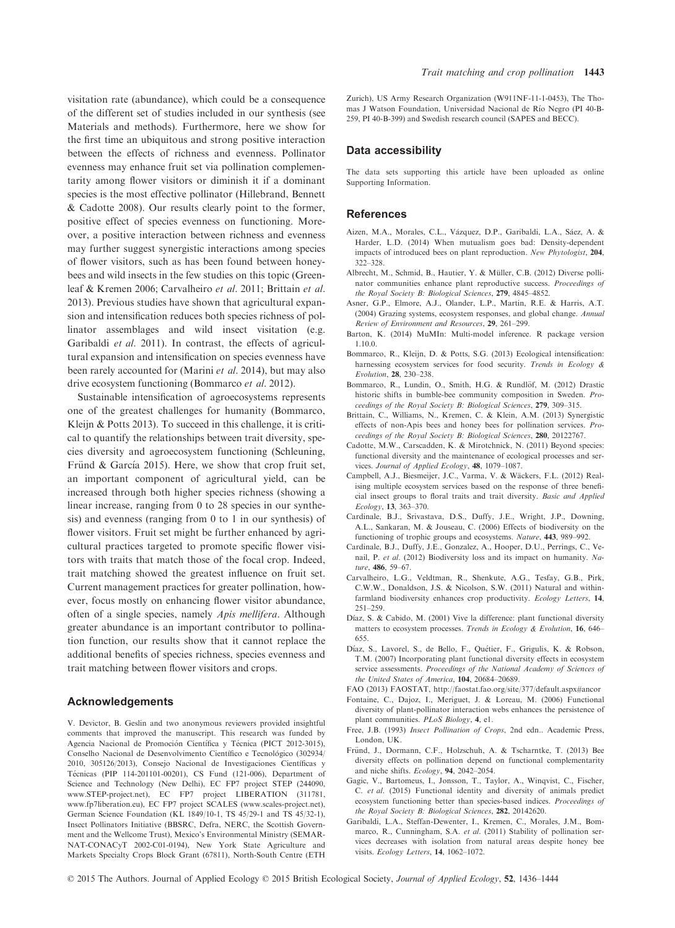visitation rate (abundance), which could be a consequence of the different set of studies included in our synthesis (see Materials and methods). Furthermore, here we show for the first time an ubiquitous and strong positive interaction between the effects of richness and evenness. Pollinator evenness may enhance fruit set via pollination complementarity among flower visitors or diminish it if a dominant species is the most effective pollinator (Hillebrand, Bennett & Cadotte 2008). Our results clearly point to the former, positive effect of species evenness on functioning. Moreover, a positive interaction between richness and evenness may further suggest synergistic interactions among species of flower visitors, such as has been found between honeybees and wild insects in the few studies on this topic (Greenleaf & Kremen 2006; Carvalheiro et al. 2011; Brittain et al. 2013). Previous studies have shown that agricultural expansion and intensification reduces both species richness of pollinator assemblages and wild insect visitation (e.g. Garibaldi et al. 2011). In contrast, the effects of agricultural expansion and intensification on species evenness have been rarely accounted for (Marini et al. 2014), but may also drive ecosystem functioning (Bommarco et al. 2012).

Sustainable intensification of agroecosystems represents one of the greatest challenges for humanity (Bommarco, Kleijn & Potts 2013). To succeed in this challenge, it is critical to quantify the relationships between trait diversity, species diversity and agroecosystem functioning (Schleuning, Fründ & García 2015). Here, we show that crop fruit set, an important component of agricultural yield, can be increased through both higher species richness (showing a linear increase, ranging from 0 to 28 species in our synthesis) and evenness (ranging from 0 to 1 in our synthesis) of flower visitors. Fruit set might be further enhanced by agricultural practices targeted to promote specific flower visitors with traits that match those of the focal crop. Indeed, trait matching showed the greatest influence on fruit set. Current management practices for greater pollination, however, focus mostly on enhancing flower visitor abundance, often of a single species, namely Apis mellifera. Although greater abundance is an important contributor to pollination function, our results show that it cannot replace the additional benefits of species richness, species evenness and trait matching between flower visitors and crops.

#### Acknowledgements

V. Devictor, B. Geslin and two anonymous reviewers provided insightful comments that improved the manuscript. This research was funded by Agencia Nacional de Promoción Científica y Técnica (PICT 2012-3015), Conselho Nacional de Desenvolvimento Científico e Tecnológico (302934/ 2010, 305126/2013), Consejo Nacional de Investigaciones Científicas y Tecnicas (PIP 114-201101-00201), CS Fund (121-006), Department of Science and Technology (New Delhi), EC FP7 project STEP (244090, www.STEP-project.net), EC FP7 project LIBERATION (311781, www.fp7liberation.eu), EC FP7 project SCALES (www.scales-project.net), German Science Foundation (KL 1849/10-1, TS 45/29-1 and TS 45/32-1), Insect Pollinators Initiative (BBSRC, Defra, NERC, the Scottish Government and the Wellcome Trust), Mexico's Environmental Ministry (SEMAR-NAT-CONACyT 2002-C01-0194), New York State Agriculture and Markets Specialty Crops Block Grant (67811), North-South Centre (ETH Zurich), US Army Research Organization (W911NF-11-1-0453), The Thomas J Watson Foundation, Universidad Nacional de Rıo Negro (PI 40-B-259, PI 40-B-399) and Swedish research council (SAPES and BECC).

#### Data accessibility

The data sets supporting this article have been uploaded as online Supporting Information.

## References

- Aizen, M.A., Morales, C.L., Vazquez, D.P., Garibaldi, L.A., Saez, A. & Harder, L.D. (2014) When mutualism goes bad: Density-dependent impacts of introduced bees on plant reproduction. New Phytologist, 204, 322–328.
- Albrecht, M., Schmid, B., Hautier, Y. & Müller, C.B. (2012) Diverse pollinator communities enhance plant reproductive success. Proceedings of the Royal Society B: Biological Sciences, 279, 4845–4852.
- Asner, G.P., Elmore, A.J., Olander, L.P., Martin, R.E. & Harris, A.T. (2004) Grazing systems, ecosystem responses, and global change. Annual Review of Environment and Resources, 29, 261–299.
- Barton, K. (2014) MuMIn: Multi-model inference. R package version 1.10.0.
- Bommarco, R., Kleijn, D. & Potts, S.G. (2013) Ecological intensification: harnessing ecosystem services for food security. Trends in Ecology & Evolution, 28, 230–238.
- Bommarco, R., Lundin, O., Smith, H.G. & Rundlöf, M. (2012) Drastic historic shifts in bumble-bee community composition in Sweden. Proceedings of the Royal Society B: Biological Sciences, 279, 309–315.
- Brittain, C., Williams, N., Kremen, C. & Klein, A.M. (2013) Synergistic effects of non-Apis bees and honey bees for pollination services. Proceedings of the Royal Society B: Biological Sciences, 280, 20122767.
- Cadotte, M.W., Carscadden, K. & Mirotchnick, N. (2011) Beyond species: functional diversity and the maintenance of ecological processes and services. Journal of Applied Ecology, 48, 1079–1087.
- Campbell, A.J., Biesmeijer, J.C., Varma, V. & Wäckers, F.L. (2012) Realising multiple ecosystem services based on the response of three beneficial insect groups to floral traits and trait diversity. Basic and Applied Ecology, 13, 363–370.
- Cardinale, B.J., Srivastava, D.S., Duffy, J.E., Wright, J.P., Downing, A.L., Sankaran, M. & Jouseau, C. (2006) Effects of biodiversity on the functioning of trophic groups and ecosystems. Nature, 443, 989–992.
- Cardinale, B.J., Duffy, J.E., Gonzalez, A., Hooper, D.U., Perrings, C., Venail, P. et al. (2012) Biodiversity loss and its impact on humanity. Nature, 486, 59–67.
- Carvalheiro, L.G., Veldtman, R., Shenkute, A.G., Tesfay, G.B., Pirk, C.W.W., Donaldson, J.S. & Nicolson, S.W. (2011) Natural and withinfarmland biodiversity enhances crop productivity. Ecology Letters, 14, 251–259.
- Díaz, S. & Cabido, M. (2001) Vive la difference: plant functional diversity matters to ecosystem processes. Trends in Ecology & Evolution, 16, 646-655.
- Díaz, S., Lavorel, S., de Bello, F., Quétier, F., Grigulis, K. & Robson, T.M. (2007) Incorporating plant functional diversity effects in ecosystem service assessments. Proceedings of the National Academy of Sciences of the United States of America, 104, 20684–20689.
- FAO (2013) FAOSTAT, http://faostat.fao.org/site/377/default.aspx#ancor
- Fontaine, C., Dajoz, I., Meriguet, J. & Loreau, M. (2006) Functional diversity of plant-pollinator interaction webs enhances the persistence of plant communities. PLoS Biology, 4, e1.
- Free, J.B. (1993) Insect Pollination of Crops, 2nd edn.. Academic Press, London, UK.
- Fründ, J., Dormann, C.F., Holzschuh, A. & Tscharntke, T. (2013) Bee diversity effects on pollination depend on functional complementarity and niche shifts. Ecology, 94, 2042–2054.
- Gagic, V., Bartomeus, I., Jonsson, T., Taylor, A., Winqvist, C., Fischer, C. et al. (2015) Functional identity and diversity of animals predict ecosystem functioning better than species-based indices. Proceedings of the Royal Society B: Biological Sciences, 282, 20142620.
- Garibaldi, L.A., Steffan-Dewenter, I., Kremen, C., Morales, J.M., Bommarco, R., Cunningham, S.A. et al. (2011) Stability of pollination services decreases with isolation from natural areas despite honey bee visits. Ecology Letters, 14, 1062–1072.

© 2015 The Authors. Journal of Applied Ecology © 2015 British Ecological Society, Journal of Applied Ecology, 52, 1436–1444